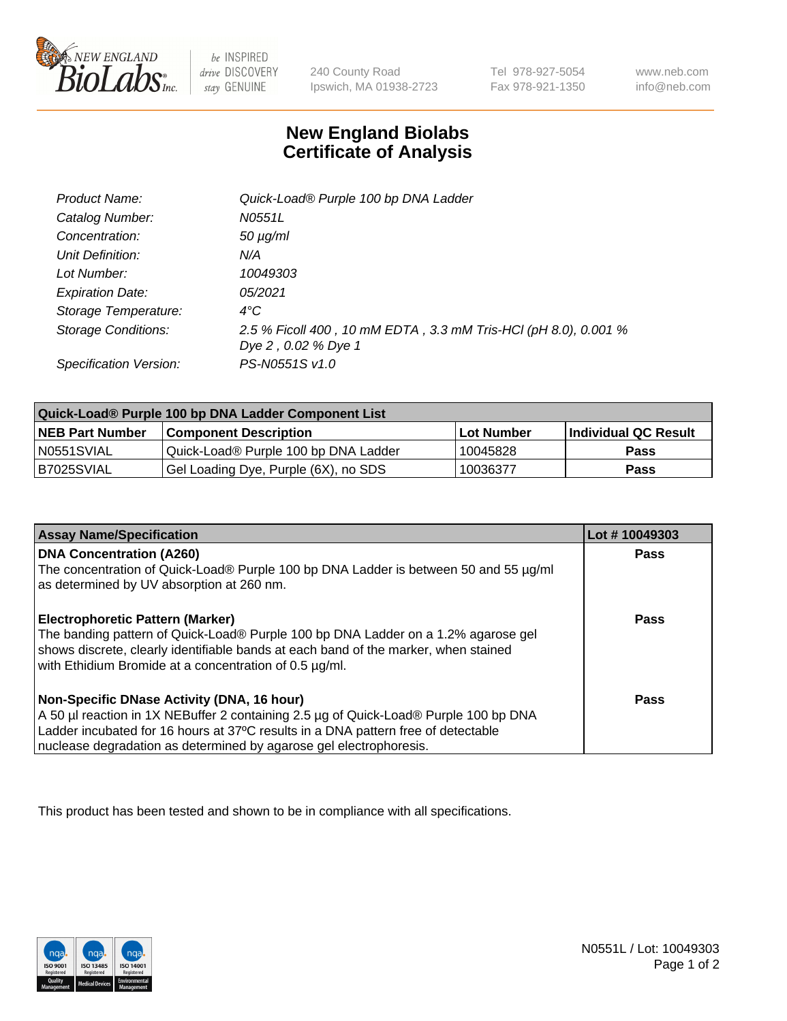

 $be$  INSPIRED drive DISCOVERY stay GENUINE

240 County Road Ipswich, MA 01938-2723 Tel 978-927-5054 Fax 978-921-1350

www.neb.com info@neb.com

## **New England Biolabs Certificate of Analysis**

| Product Name:           | Quick-Load® Purple 100 bp DNA Ladder                            |
|-------------------------|-----------------------------------------------------------------|
| Catalog Number:         | N0551L                                                          |
| Concentration:          | $50 \mu g/ml$                                                   |
| Unit Definition:        | N/A                                                             |
| Lot Number:             | 10049303                                                        |
| <b>Expiration Date:</b> | 05/2021                                                         |
| Storage Temperature:    | $4^{\circ}$ C                                                   |
| Storage Conditions:     | 2.5 % Ficoll 400, 10 mM EDTA, 3.3 mM Tris-HCl (pH 8.0), 0.001 % |
|                         | Dye 2, 0.02 % Dye 1                                             |
| Specification Version:  | PS-N0551S v1.0                                                  |

| Quick-Load® Purple 100 bp DNA Ladder Component List |                                      |                   |                      |  |
|-----------------------------------------------------|--------------------------------------|-------------------|----------------------|--|
| <b>NEB Part Number</b>                              | <b>Component Description</b>         | <b>Lot Number</b> | Individual QC Result |  |
| N0551SVIAL                                          | Quick-Load® Purple 100 bp DNA Ladder | 10045828          | <b>Pass</b>          |  |
| I B7025SVIAL                                        | Gel Loading Dye, Purple (6X), no SDS | 10036377          | <b>Pass</b>          |  |

| <b>Assay Name/Specification</b>                                                                                                                                                                                                    | Lot #10049303 |
|------------------------------------------------------------------------------------------------------------------------------------------------------------------------------------------------------------------------------------|---------------|
| <b>DNA Concentration (A260)</b><br>The concentration of Quick-Load® Purple 100 bp DNA Ladder is between 50 and 55 µg/ml                                                                                                            | <b>Pass</b>   |
| as determined by UV absorption at 260 nm.                                                                                                                                                                                          |               |
| Electrophoretic Pattern (Marker)                                                                                                                                                                                                   | Pass          |
| The banding pattern of Quick-Load® Purple 100 bp DNA Ladder on a 1.2% agarose gel<br>shows discrete, clearly identifiable bands at each band of the marker, when stained<br>with Ethidium Bromide at a concentration of 0.5 µg/ml. |               |
| Non-Specific DNase Activity (DNA, 16 hour)                                                                                                                                                                                         | Pass          |
| A 50 µl reaction in 1X NEBuffer 2 containing 2.5 µg of Quick-Load® Purple 100 bp DNA                                                                                                                                               |               |
| Ladder incubated for 16 hours at 37°C results in a DNA pattern free of detectable                                                                                                                                                  |               |
| nuclease degradation as determined by agarose gel electrophoresis.                                                                                                                                                                 |               |

This product has been tested and shown to be in compliance with all specifications.